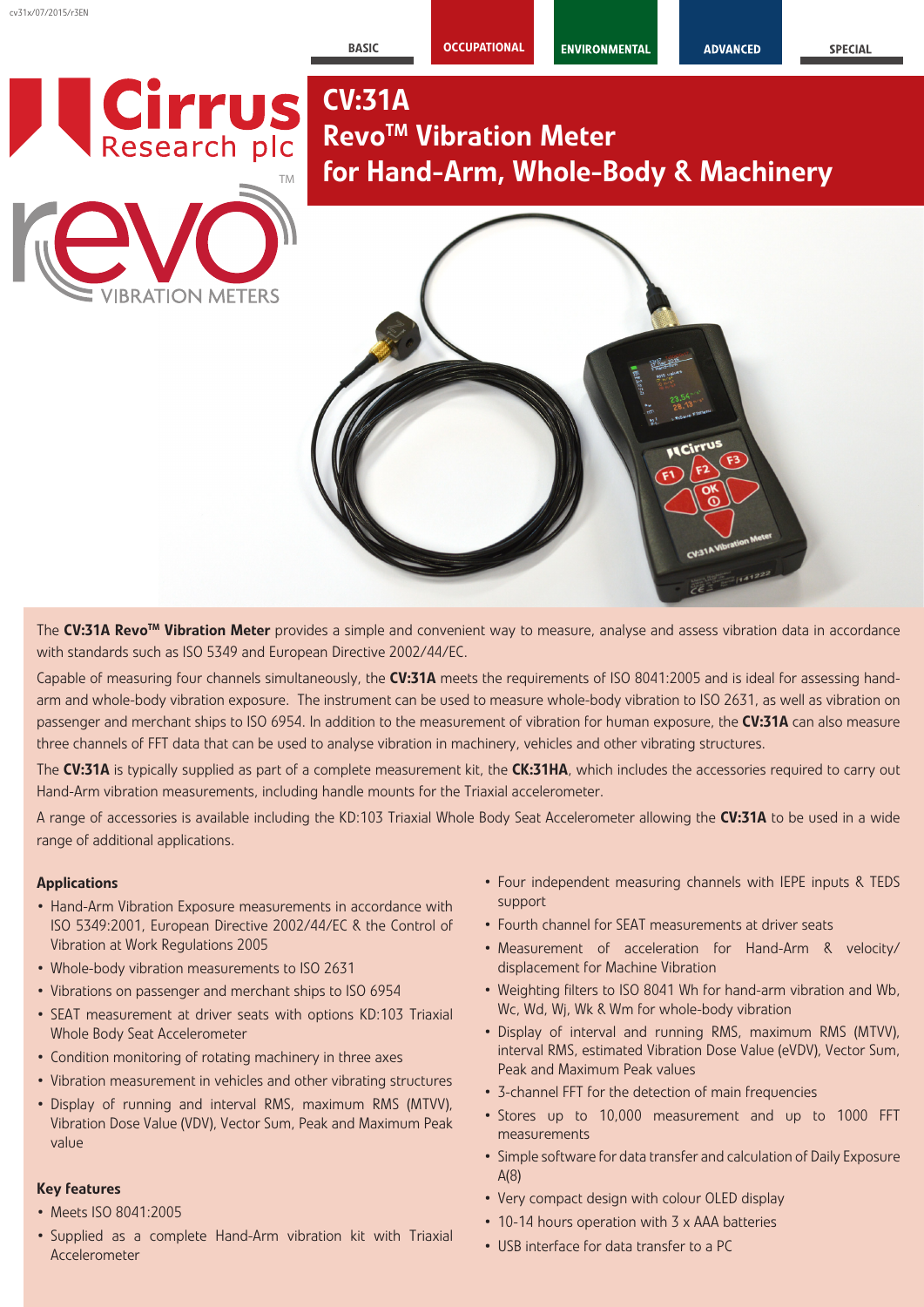BASIC **OCCUPATIONAL** 

**ADVANCED** 

# **Cirrus**<br>Research plc TM

## CV:31A **Revo<sup>™</sup> Vibration Meter** for Hand-Arm, Whole-Body & Machinery



The CV:31A Revo<sup>™</sup> Vibration Meter provides a simple and convenient way to measure, analyse and assess vibration data in accordance with standards such as ISO 5349 and European Directive 2002/44/EC.

Capable of measuring four channels simultaneously, the CV:31A meets the requirements of ISO 8041:2005 and is ideal for assessing handarm and whole-body vibration exposure. The instrument can be used to measure whole-body vibration to ISO 2631, as well as vibration on passenger and merchant ships to ISO 6954. In addition to the measurement of vibration for human exposure, the CV:31A can also measure three channels of FFT data that can be used to analyse vibration in machinery, vehicles and other vibrating structures.

The CV:31A is typically supplied as part of a complete measurement kit, the CK:31HA, which includes the accessories required to carry out Hand-Arm vibration measurements, including handle mounts for the Triaxial accelerometer.

A range of accessories is available including the KD:103 Triaxial Whole Body Seat Accelerometer allowing the CV:31A to be used in a wide range of additional applications.

#### Applications

- Hand-Arm Vibration Exposure measurements in accordance with ISO 5349:2001, European Directive 2002/44/EC & the Control of Vibration at Work Regulations 2005
- Whole-body vibration measurements to ISO 2631
- Vibrations on passenger and merchant ships to ISO 6954
- SEAT measurement at driver seats with options KD:103 Triaxial Whole Body Seat Accelerometer
- Condition monitoring of rotating machinery in three axes
- Vibration measurement in vehicles and other vibrating structures
- Display of running and interval RMS, maximum RMS (MTVV), Vibration Dose Value (VDV), Vector Sum, Peak and Maximum Peak value

#### Key features

- Meets ISO 8041:2005
- Supplied as a complete Hand-Arm vibration kit with Triaxial Accelerometer
- Four independent measuring channels with IEPE inputs & TEDS support
- Fourth channel for SEAT measurements at driver seats
- Measurement of acceleration for Hand-Arm & velocity/ displacement for Machine Vibration
- Weighting filters to ISO 8041 Wh for hand-arm vibration and Wb, Wc, Wd, Wj, Wk & Wm for whole-body vibration
- Display of interval and running RMS, maximum RMS (MTVV), interval RMS, estimated Vibration Dose Value (eVDV), Vector Sum, Peak and Maximum Peak values
- 3-channel FFT for the detection of main frequencies
- Stores up to 10,000 measurement and up to 1000 FFT measurements
- Simple software for data transfer and calculation of Daily Exposure A(8)
- Very compact design with colour OLED display
- 10-14 hours operation with 3 x AAA batteries
- USB interface for data transfer to a PC